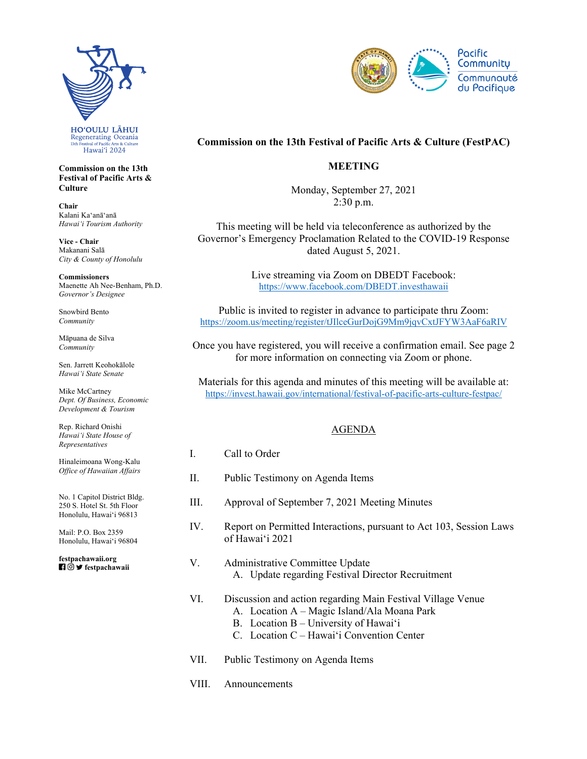

**Commission on the 13th Festival of Pacific Arts & Culture** 

**Chair**  Kalani Kaʻanāʻanā *Hawaiʻi Tourism Authority* 

**Vice - Chair**  Makanani Salā *City & County of Honolulu* 

**Commissioners**  Maenette Ah Nee-Benham, Ph.D. *Governor's Designee* 

Snowbird Bento *Community* 

Māpuana de Silva *Community* 

Sen. Jarrett Keohokālole *Hawaiʻi State Senate* 

Mike McCartney *Dept. Of Business, Economic Development & Tourism* 

Rep. Richard Onishi *Hawai'i State House of Representatives* 

Hinaleimoana Wong-Kalu *Office of Hawaiian Affairs* 

No. 1 Capitol District Bldg. 250 S. Hotel St. 5th Floor Honolulu, Hawaiʻi 96813

Mail: P.O. Box 2359 Honolulu, Hawaiʻi 96804

 **festpachawaii [festpachawaii.org](https://festpachawaii.org)** 



# **Commission on the 13th Festival of Pacific Arts & Culture (FestPAC)**

## **MEETING**

Monday, September 27, 2021  $2:30$  p.m.

This meeting will be held via teleconference as authorized by the Governor's Emergency Proclamation Related to the COVID-19 Response dated August 5, 2021.

> Live streaming via Zoom on DBEDT Facebook: <https://www.facebook.com/DBEDT.investhawaii>

Public is invited to register in advance to participate thru Zoom: <https://zoom.us/meeting/register/tJIlceGurDojG9Mm9jqvCxtJFYW3AaF6aRIV>

Once you have registered, you will receive a confirmation email. See page 2 for more information on connecting via Zoom or phone.

Materials for this agenda and minutes of this meeting will be available at: [https://invest.hawaii.gov/international/festival-of-pacific-arts-culture-festpac/](https://invest.hawaii.gov/international/festival-of-pacific-arts-culture-festpac)

## AGENDA

- I. Call to Order
- II. Public Testimony on Agenda Items
- III. Approval of September 7, 2021 Meeting Minutes
- IV. Report on Permitted Interactions, pursuant to Act 103, Session Laws of Hawaiʻi 2021
- V. Administrative Committee Update A. Update regarding Festival Director Recruitment
- VI. Discussion and action regarding Main Festival Village Venue
	- A. Location A Magic Island/Ala Moana Park
	- B. Location B University of Hawaiʻi
- C. Location C Hawaiʻi Convention Center VII. Public Testimony on Agenda Items
- 
- VIII. Announcements